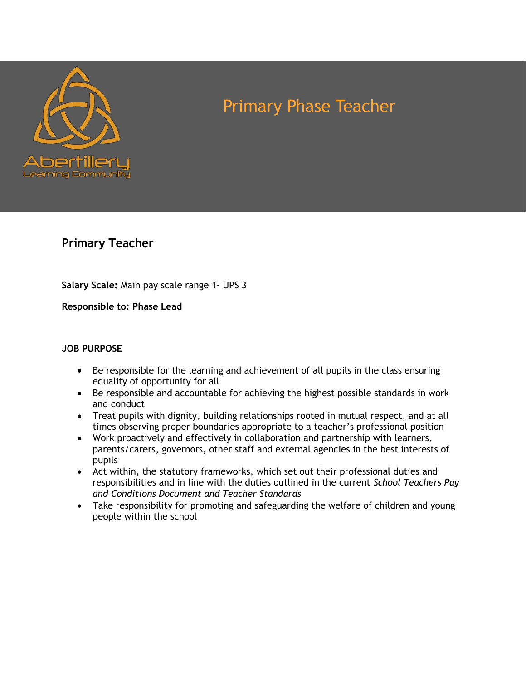

# Primary Phase Teacher

### **Primary Teacher**

**Salary Scale:** Main pay scale range 1- UPS 3

**Responsible to: Phase Lead**

#### **JOB PURPOSE**

- Be responsible for the learning and achievement of all pupils in the class ensuring equality of opportunity for all
- Be responsible and accountable for achieving the highest possible standards in work and conduct
- Treat pupils with dignity, building relationships rooted in mutual respect, and at all times observing proper boundaries appropriate to a teacher's professional position
- Work proactively and effectively in collaboration and partnership with learners, parents/carers, governors, other staff and external agencies in the best interests of pupils
- Act within, the statutory frameworks, which set out their professional duties and responsibilities and in line with the duties outlined in the current *School Teachers Pay and Conditions Document and Teacher Standards*
- Take responsibility for promoting and safeguarding the welfare of children and young people within the school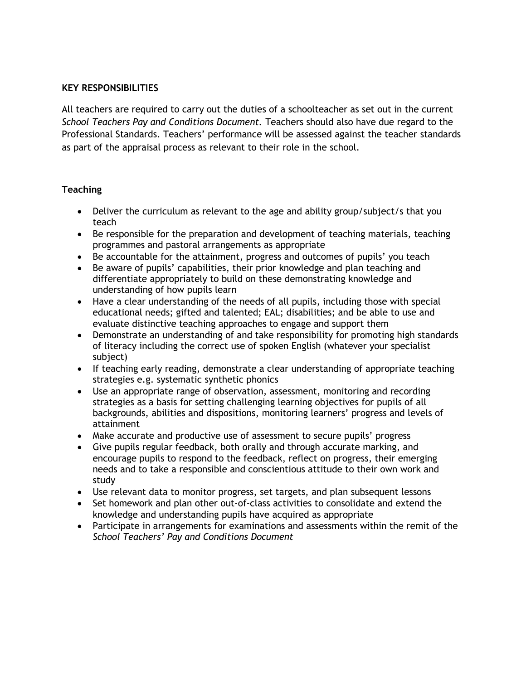#### **KEY RESPONSIBILITIES**

All teachers are required to carry out the duties of a schoolteacher as set out in the current *[School Teachers Pay and Conditions](https://www.education.gov.uk/publications/) Document.* Teachers should also have due regard to the Professional Standards. Teachers' performance will be assessed against the teacher [standards](https://www.education.gov.uk/publications/standard/publicationDetail/Page1/DFE-00066-2011) as part of the appraisal process as relevant to their role in the school.

#### **Teaching**

- Deliver the curriculum as relevant to the age and ability group/subject/s that you teach
- Be responsible for the preparation and development of teaching materials, teaching programmes and pastoral arrangements as appropriate
- Be accountable for the attainment, progress and outcomes of pupils' you teach
- Be aware of pupils' capabilities, their prior knowledge and plan teaching and differentiate appropriately to build on these demonstrating knowledge and understanding of how pupils learn
- Have a clear understanding of the needs of all pupils, including those with special educational needs; gifted and talented; EAL; disabilities; and be able to use and evaluate distinctive teaching approaches to engage and support them
- Demonstrate an understanding of and take responsibility for promoting high standards of literacy including the correct use of spoken English (whatever your specialist subject)
- If teaching early reading, demonstrate a clear understanding of appropriate teaching strategies e.g. systematic synthetic phonics
- Use an appropriate range of observation, assessment, monitoring and recording strategies as a basis for setting challenging learning objectives for pupils of all backgrounds, abilities and dispositions, monitoring learners' progress and levels of attainment
- Make accurate and productive use of assessment to secure pupils' progress
- Give pupils regular feedback, both orally and through accurate marking, and encourage pupils to respond to the feedback, reflect on progress, their emerging needs and to take a responsible and conscientious attitude to their own work and study
- Use relevant data to monitor progress, set targets, and plan subsequent lessons
- Set homework and plan other out-of-class activities to consolidate and extend the knowledge and understanding pupils have acquired as appropriate
- Participate in arrangements for examinations and assessments within the remit of the *School Teachers' Pay and Conditions Document*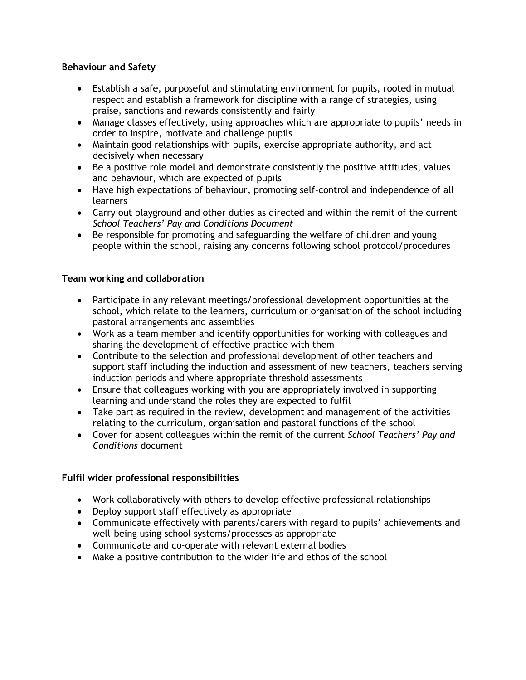#### **Behaviour and Safety**

- Establish a safe, purposeful and stimulating environment for pupils, rooted in mutual respect and establish a framework for discipline with a range of strategies, using praise, sanctions and rewards consistently and fairly
- Manage classes effectively, using approaches which are appropriate to pupils' needs in order to inspire, motivate and challenge pupils
- Maintain good relationships with pupils, exercise appropriate authority, and act decisively when necessary
- Be a positive role model and demonstrate consistently the positive attitudes, values and behaviour, which are expected of pupils
- Have high expectations of behaviour, promoting self-control and independence of all learners
- Carry out playground and other duties as directed and within the remit of the current *School Teachers' Pay and Conditions Document*
- Be responsible for promoting and safeguarding the welfare of children and young people within the school, raising any concerns following school protocol/procedures

#### **Team working and collaboration**

- Participate in any relevant meetings/professional development opportunities at the school, which relate to the learners, curriculum or organisation of the school including pastoral arrangements and assemblies
- Work as a team member and identify opportunities for working with colleagues and sharing the development of effective practice with them
- Contribute to the selection and professional development of other teachers and support staff including the induction and assessment of new teachers, teachers serving induction periods and where appropriate threshold assessments
- Ensure that colleagues working with you are appropriately involved in supporting learning and understand the roles they are expected to fulfil
- Take part as required in the review, development and management of the activities relating to the curriculum, organisation and pastoral functions of the school
- Cover for absent colleagues within the remit of the current *School Teachers' Pay and Conditions* document

#### **Fulfil wider professional responsibilities**

- Work collaboratively with others to develop effective professional relationships
- Deploy support staff effectively as appropriate
- Communicate effectively with parents/carers with regard to pupils' achievements and well-being using school systems/processes as appropriate
- Communicate and co-operate with relevant external bodies
- Make a positive contribution to the wider life and ethos of the school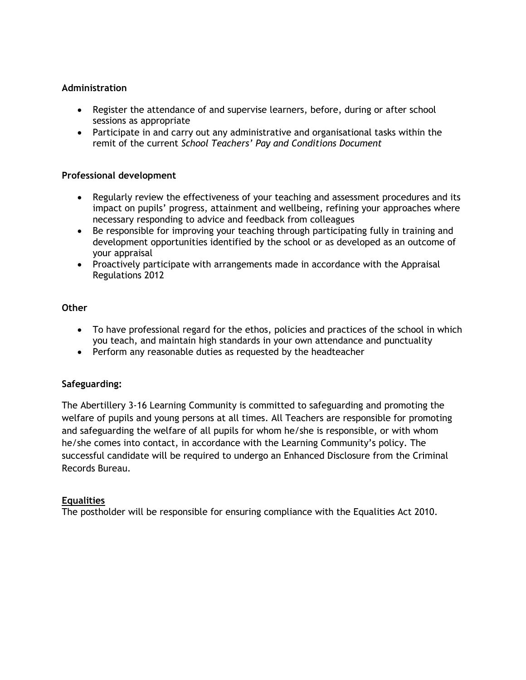#### **Administration**

- Register the attendance of and supervise learners, before, during or after school sessions as appropriate
- Participate in and carry out any administrative and organisational tasks within the remit of the current *School Teachers' Pay and Conditions Document*

#### **Professional development**

- Regularly review the effectiveness of your teaching and assessment procedures and its impact on pupils' progress, attainment and wellbeing, refining your approaches where necessary responding to advice and feedback from colleagues
- Be responsible for improving your teaching through participating fully in training and development opportunities identified by the school or as developed as an outcome of your appraisal
- Proactively participate with arrangements made in accordance with the Appraisal Regulations 2012

#### **Other**

- To have professional regard for the ethos, policies and practices of the school in which you teach, and maintain high standards in your own attendance and punctuality
- Perform any reasonable duties as requested by the headteacher

#### **Safeguarding:**

The Abertillery 3-16 Learning Community is committed to safeguarding and promoting the welfare of pupils and young persons at all times. All Teachers are responsible for promoting and safeguarding the welfare of all pupils for whom he/she is responsible, or with whom he/she comes into contact, in accordance with the Learning Community's policy. The successful candidate will be required to undergo an Enhanced Disclosure from the Criminal Records Bureau.

#### **Equalities**

The postholder will be responsible for ensuring compliance with the Equalities Act 2010.